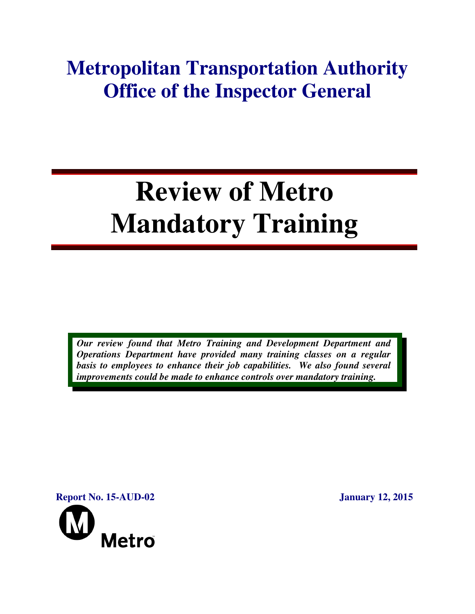## **Metropolitan Transportation Authority Office of the Inspector General**

# **Review of Metro Mandatory Training**

*Our review found that Metro Training and Development Department and Operations Department have provided many training classes on a regular basis to employees to enhance their job capabilities. We also found several improvements could be made to enhance controls over mandatory training.* 

**Report No. 15-AUD-02** January 12, 2015

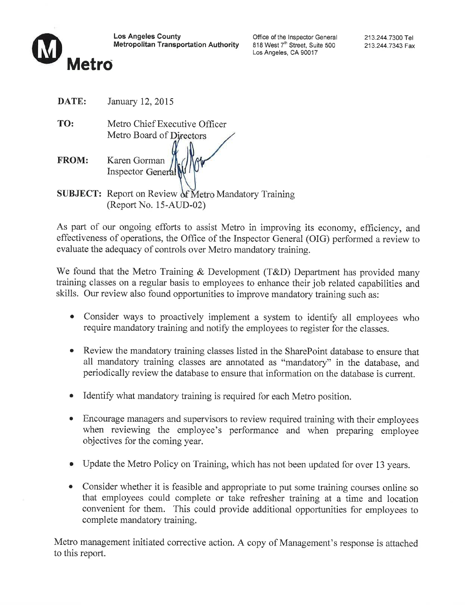

**Los Angeles County Metropolitan Transportation Authority** 

Office of the Inspector General 818 West 7<sup>th</sup> Street, Suite 500 Los Angeles, CA 90017

DATE: January 12, 2015

TO: Metro Chief Executive Officer Metro Board of Directors Karen Gorman **FROM:** Inspector General **SUBJECT:** Report on Review of Metro Mandatory Training (Report No. 15-AUD-02)

As part of our ongoing efforts to assist Metro in improving its economy, efficiency, and effectiveness of operations, the Office of the Inspector General (OIG) performed a review to evaluate the adequacy of controls over Metro mandatory training.

We found that the Metro Training & Development (T&D) Department has provided many training classes on a regular basis to employees to enhance their job related capabilities and skills. Our review also found opportunities to improve mandatory training such as:

- Consider ways to proactively implement a system to identify all employees who require mandatory training and notify the employees to register for the classes.
- Review the mandatory training classes listed in the SharePoint database to ensure that all mandatory training classes are annotated as "mandatory" in the database, and periodically review the database to ensure that information on the database is current.
- Identify what mandatory training is required for each Metro position.
- Encourage managers and supervisors to review required training with their employees when reviewing the employee's performance and when preparing employee objectives for the coming year.
- Update the Metro Policy on Training, which has not been updated for over 13 years.
- Consider whether it is feasible and appropriate to put some training courses online so that employees could complete or take refresher training at a time and location convenient for them. This could provide additional opportunities for employees to complete mandatory training.

Metro management initiated corrective action. A copy of Management's response is attached to this report.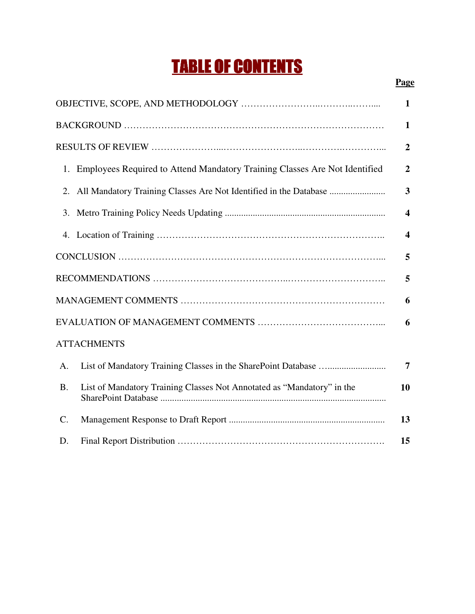## TABLE OF CONTENTS

|--|

| $\mathbf{1}$    |                                                                               |                         |  |
|-----------------|-------------------------------------------------------------------------------|-------------------------|--|
|                 |                                                                               | $\mathbf{1}$            |  |
|                 |                                                                               | $\overline{2}$          |  |
|                 | 1. Employees Required to Attend Mandatory Training Classes Are Not Identified | $\overline{2}$          |  |
| 2.              | All Mandatory Training Classes Are Not Identified in the Database             | $\overline{\mathbf{3}}$ |  |
| 3.              |                                                                               | $\overline{\mathbf{4}}$ |  |
| 4.              |                                                                               | $\overline{\mathbf{4}}$ |  |
|                 |                                                                               | 5                       |  |
|                 |                                                                               | 5                       |  |
|                 |                                                                               | 6                       |  |
|                 |                                                                               | 6                       |  |
|                 | <b>ATTACHMENTS</b>                                                            |                         |  |
| A.              |                                                                               | 7                       |  |
| <b>B.</b>       | List of Mandatory Training Classes Not Annotated as "Mandatory" in the        | 10                      |  |
| $\mathcal{C}$ . |                                                                               | 13                      |  |
| D.              |                                                                               | 15                      |  |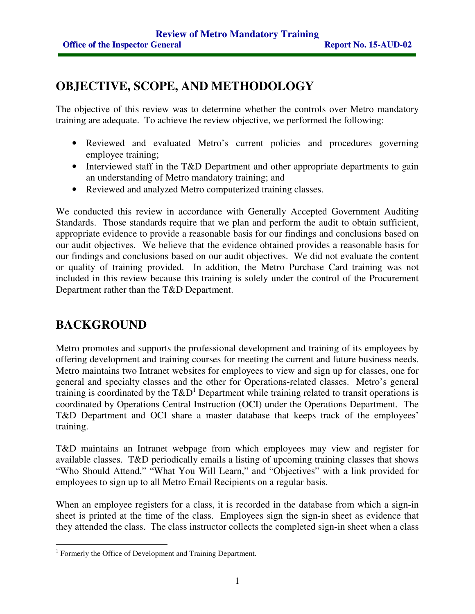## **OBJECTIVE, SCOPE, AND METHODOLOGY**

The objective of this review was to determine whether the controls over Metro mandatory training are adequate. To achieve the review objective, we performed the following:

- Reviewed and evaluated Metro's current policies and procedures governing employee training;
- Interviewed staff in the T&D Department and other appropriate departments to gain an understanding of Metro mandatory training; and
- Reviewed and analyzed Metro computerized training classes.

We conducted this review in accordance with Generally Accepted Government Auditing Standards. Those standards require that we plan and perform the audit to obtain sufficient, appropriate evidence to provide a reasonable basis for our findings and conclusions based on our audit objectives. We believe that the evidence obtained provides a reasonable basis for our findings and conclusions based on our audit objectives. We did not evaluate the content or quality of training provided. In addition, the Metro Purchase Card training was not included in this review because this training is solely under the control of the Procurement Department rather than the T&D Department.

#### **BACKGROUND**

Metro promotes and supports the professional development and training of its employees by offering development and training courses for meeting the current and future business needs. Metro maintains two Intranet websites for employees to view and sign up for classes, one for general and specialty classes and the other for Operations-related classes. Metro's general training is coordinated by the  $T\&D^1$  Department while training related to transit operations is coordinated by Operations Central Instruction (OCI) under the Operations Department. The T&D Department and OCI share a master database that keeps track of the employees' training.

T&D maintains an Intranet webpage from which employees may view and register for available classes. T&D periodically emails a listing of upcoming training classes that shows "Who Should Attend," "What You Will Learn," and "Objectives" with a link provided for employees to sign up to all Metro Email Recipients on a regular basis.

When an employee registers for a class, it is recorded in the database from which a sign-in sheet is printed at the time of the class. Employees sign the sign-in sheet as evidence that they attended the class. The class instructor collects the completed sign-in sheet when a class

 $\overline{a}$ <sup>1</sup> Formerly the Office of Development and Training Department.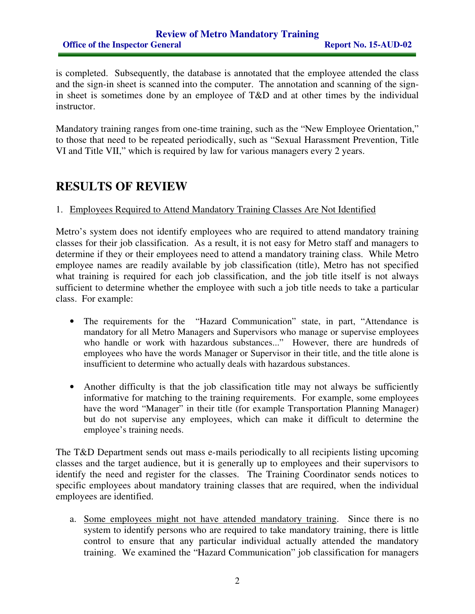#### **Review of Metro Mandatory Training Office of the Inspector General Report No. 15-AUD-02**

is completed. Subsequently, the database is annotated that the employee attended the class and the sign-in sheet is scanned into the computer. The annotation and scanning of the signin sheet is sometimes done by an employee of T&D and at other times by the individual instructor.

Mandatory training ranges from one-time training, such as the "New Employee Orientation," to those that need to be repeated periodically, such as "Sexual Harassment Prevention, Title VI and Title VII," which is required by law for various managers every 2 years.

#### **RESULTS OF REVIEW**

#### 1. Employees Required to Attend Mandatory Training Classes Are Not Identified

Metro's system does not identify employees who are required to attend mandatory training classes for their job classification. As a result, it is not easy for Metro staff and managers to determine if they or their employees need to attend a mandatory training class. While Metro employee names are readily available by job classification (title), Metro has not specified what training is required for each job classification, and the job title itself is not always sufficient to determine whether the employee with such a job title needs to take a particular class. For example:

- The requirements for the "Hazard Communication" state, in part, "Attendance is mandatory for all Metro Managers and Supervisors who manage or supervise employees who handle or work with hazardous substances..." However, there are hundreds of employees who have the words Manager or Supervisor in their title, and the title alone is insufficient to determine who actually deals with hazardous substances.
- Another difficulty is that the job classification title may not always be sufficiently informative for matching to the training requirements. For example, some employees have the word "Manager" in their title (for example Transportation Planning Manager) but do not supervise any employees, which can make it difficult to determine the employee's training needs.

The T&D Department sends out mass e-mails periodically to all recipients listing upcoming classes and the target audience, but it is generally up to employees and their supervisors to identify the need and register for the classes. The Training Coordinator sends notices to specific employees about mandatory training classes that are required, when the individual employees are identified.

a. Some employees might not have attended mandatory training. Since there is no system to identify persons who are required to take mandatory training, there is little control to ensure that any particular individual actually attended the mandatory training. We examined the "Hazard Communication" job classification for managers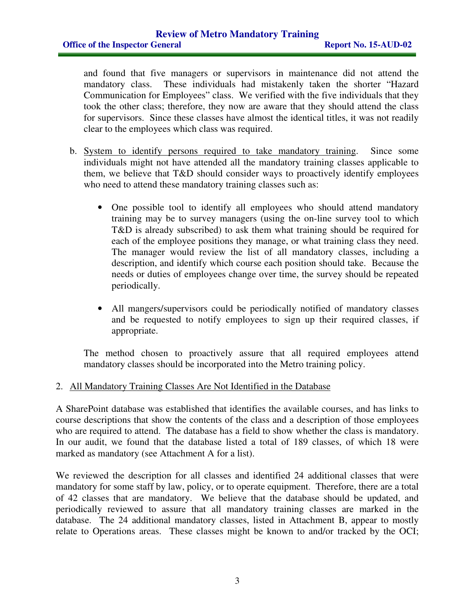and found that five managers or supervisors in maintenance did not attend the mandatory class. These individuals had mistakenly taken the shorter "Hazard Communication for Employees" class. We verified with the five individuals that they took the other class; therefore, they now are aware that they should attend the class for supervisors. Since these classes have almost the identical titles, it was not readily clear to the employees which class was required.

- b. System to identify persons required to take mandatory training. Since some individuals might not have attended all the mandatory training classes applicable to them, we believe that T&D should consider ways to proactively identify employees who need to attend these mandatory training classes such as:
	- One possible tool to identify all employees who should attend mandatory training may be to survey managers (using the on-line survey tool to which T&D is already subscribed) to ask them what training should be required for each of the employee positions they manage, or what training class they need. The manager would review the list of all mandatory classes, including a description, and identify which course each position should take. Because the needs or duties of employees change over time, the survey should be repeated periodically.
	- All mangers/supervisors could be periodically notified of mandatory classes and be requested to notify employees to sign up their required classes, if appropriate.

The method chosen to proactively assure that all required employees attend mandatory classes should be incorporated into the Metro training policy.

#### 2. All Mandatory Training Classes Are Not Identified in the Database

A SharePoint database was established that identifies the available courses, and has links to course descriptions that show the contents of the class and a description of those employees who are required to attend. The database has a field to show whether the class is mandatory. In our audit, we found that the database listed a total of 189 classes, of which 18 were marked as mandatory (see Attachment A for a list).

We reviewed the description for all classes and identified 24 additional classes that were mandatory for some staff by law, policy, or to operate equipment. Therefore, there are a total of 42 classes that are mandatory. We believe that the database should be updated, and periodically reviewed to assure that all mandatory training classes are marked in the database. The 24 additional mandatory classes, listed in Attachment B, appear to mostly relate to Operations areas. These classes might be known to and/or tracked by the OCI;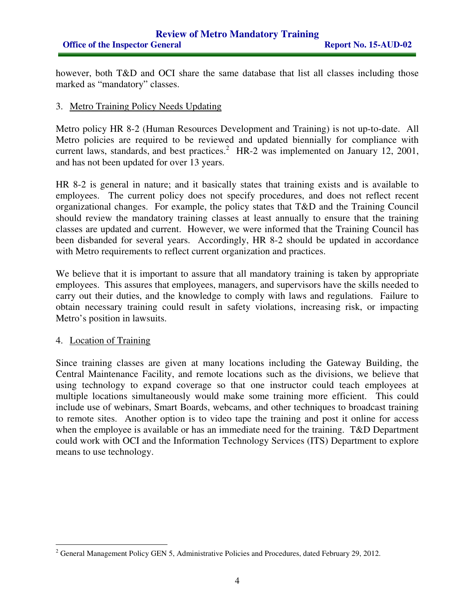#### **Review of Metro Mandatory Training Office of the Inspector General Report No. 15-AUD-02**

however, both T&D and OCI share the same database that list all classes including those marked as "mandatory" classes.

#### 3. Metro Training Policy Needs Updating

Metro policy HR 8-2 (Human Resources Development and Training) is not up-to-date. All Metro policies are required to be reviewed and updated biennially for compliance with current laws, standards, and best practices.<sup>2</sup> HR-2 was implemented on January 12, 2001, and has not been updated for over 13 years.

HR 8-2 is general in nature; and it basically states that training exists and is available to employees. The current policy does not specify procedures, and does not reflect recent organizational changes. For example, the policy states that T&D and the Training Council should review the mandatory training classes at least annually to ensure that the training classes are updated and current. However, we were informed that the Training Council has been disbanded for several years. Accordingly, HR 8-2 should be updated in accordance with Metro requirements to reflect current organization and practices.

We believe that it is important to assure that all mandatory training is taken by appropriate employees. This assures that employees, managers, and supervisors have the skills needed to carry out their duties, and the knowledge to comply with laws and regulations. Failure to obtain necessary training could result in safety violations, increasing risk, or impacting Metro's position in lawsuits.

#### 4. Location of Training

 $\overline{a}$ 

Since training classes are given at many locations including the Gateway Building, the Central Maintenance Facility, and remote locations such as the divisions, we believe that using technology to expand coverage so that one instructor could teach employees at multiple locations simultaneously would make some training more efficient. This could include use of webinars, Smart Boards, webcams, and other techniques to broadcast training to remote sites. Another option is to video tape the training and post it online for access when the employee is available or has an immediate need for the training. T&D Department could work with OCI and the Information Technology Services (ITS) Department to explore means to use technology.

 $2^2$  General Management Policy GEN 5, Administrative Policies and Procedures, dated February 29, 2012.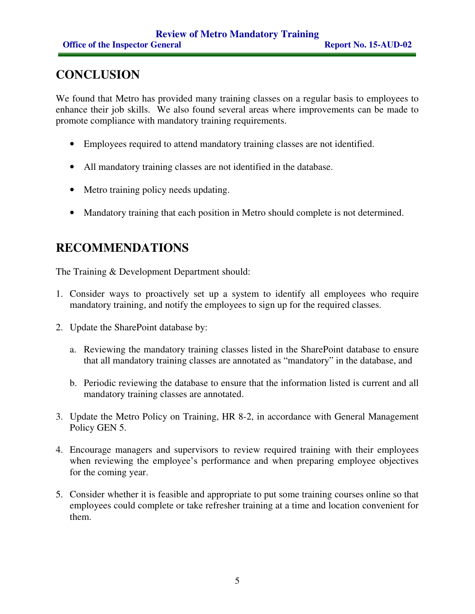## **CONCLUSION**

We found that Metro has provided many training classes on a regular basis to employees to enhance their job skills. We also found several areas where improvements can be made to promote compliance with mandatory training requirements.

- Employees required to attend mandatory training classes are not identified.
- All mandatory training classes are not identified in the database.
- Metro training policy needs updating.
- Mandatory training that each position in Metro should complete is not determined.

#### **RECOMMENDATIONS**

The Training & Development Department should:

- 1. Consider ways to proactively set up a system to identify all employees who require mandatory training, and notify the employees to sign up for the required classes.
- 2. Update the SharePoint database by:
	- a. Reviewing the mandatory training classes listed in the SharePoint database to ensure that all mandatory training classes are annotated as "mandatory" in the database, and
	- b. Periodic reviewing the database to ensure that the information listed is current and all mandatory training classes are annotated.
- 3. Update the Metro Policy on Training, HR 8-2, in accordance with General Management Policy GEN 5.
- 4. Encourage managers and supervisors to review required training with their employees when reviewing the employee's performance and when preparing employee objectives for the coming year.
- 5. Consider whether it is feasible and appropriate to put some training courses online so that employees could complete or take refresher training at a time and location convenient for them.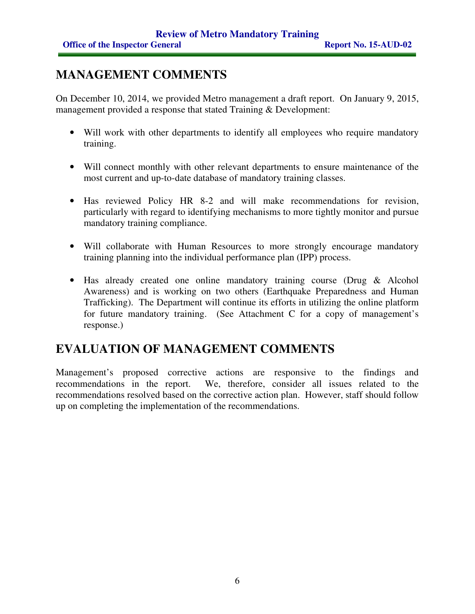## **MANAGEMENT COMMENTS**

On December 10, 2014, we provided Metro management a draft report. On January 9, 2015, management provided a response that stated Training & Development:

- Will work with other departments to identify all employees who require mandatory training.
- Will connect monthly with other relevant departments to ensure maintenance of the most current and up-to-date database of mandatory training classes.
- Has reviewed Policy HR 8-2 and will make recommendations for revision, particularly with regard to identifying mechanisms to more tightly monitor and pursue mandatory training compliance.
- Will collaborate with Human Resources to more strongly encourage mandatory training planning into the individual performance plan (IPP) process.
- Has already created one online mandatory training course (Drug & Alcohol Awareness) and is working on two others (Earthquake Preparedness and Human Trafficking). The Department will continue its efforts in utilizing the online platform for future mandatory training. (See Attachment C for a copy of management's response.)

#### **EVALUATION OF MANAGEMENT COMMENTS**

Management's proposed corrective actions are responsive to the findings and recommendations in the report. We, therefore, consider all issues related to the recommendations resolved based on the corrective action plan. However, staff should follow up on completing the implementation of the recommendations.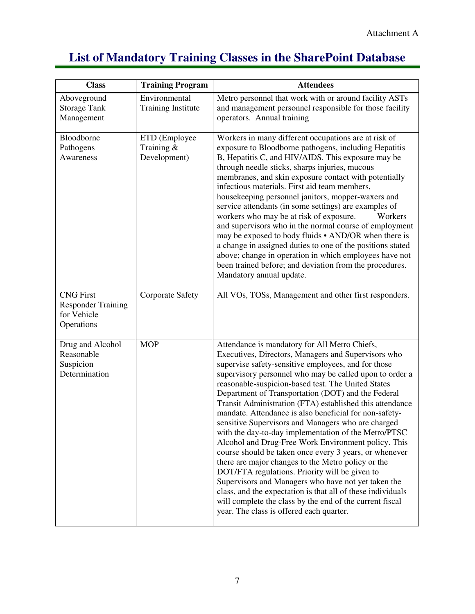## **List of Mandatory Training Classes in the SharePoint Database**

| <b>Class</b>                                                               | <b>Training Program</b>                        | <b>Attendees</b>                                                                                                                                                                                                                                                                                                                                                                                                                                                                                                                                                                                                                                                                                                                                                                                                                                                                                                                                                                                                              |
|----------------------------------------------------------------------------|------------------------------------------------|-------------------------------------------------------------------------------------------------------------------------------------------------------------------------------------------------------------------------------------------------------------------------------------------------------------------------------------------------------------------------------------------------------------------------------------------------------------------------------------------------------------------------------------------------------------------------------------------------------------------------------------------------------------------------------------------------------------------------------------------------------------------------------------------------------------------------------------------------------------------------------------------------------------------------------------------------------------------------------------------------------------------------------|
| Aboveground<br><b>Storage Tank</b><br>Management                           | Environmental<br><b>Training Institute</b>     | Metro personnel that work with or around facility ASTs<br>and management personnel responsible for those facility<br>operators. Annual training                                                                                                                                                                                                                                                                                                                                                                                                                                                                                                                                                                                                                                                                                                                                                                                                                                                                               |
| Bloodborne<br>Pathogens<br>Awareness                                       | ETD (Employee<br>Training $\&$<br>Development) | Workers in many different occupations are at risk of<br>exposure to Bloodborne pathogens, including Hepatitis<br>B, Hepatitis C, and HIV/AIDS. This exposure may be<br>through needle sticks, sharps injuries, mucous<br>membranes, and skin exposure contact with potentially<br>infectious materials. First aid team members,<br>housekeeping personnel janitors, mopper-waxers and<br>service attendants (in some settings) are examples of<br>workers who may be at risk of exposure.<br>Workers<br>and supervisors who in the normal course of employment<br>may be exposed to body fluids • AND/OR when there is<br>a change in assigned duties to one of the positions stated<br>above; change in operation in which employees have not<br>been trained before; and deviation from the procedures.<br>Mandatory annual update.                                                                                                                                                                                         |
| <b>CNG</b> First<br><b>Responder Training</b><br>for Vehicle<br>Operations | <b>Corporate Safety</b>                        | All VOs, TOSs, Management and other first responders.                                                                                                                                                                                                                                                                                                                                                                                                                                                                                                                                                                                                                                                                                                                                                                                                                                                                                                                                                                         |
| Drug and Alcohol<br>Reasonable<br>Suspicion<br>Determination               | <b>MOP</b>                                     | Attendance is mandatory for All Metro Chiefs,<br>Executives, Directors, Managers and Supervisors who<br>supervise safety-sensitive employees, and for those<br>supervisory personnel who may be called upon to order a<br>reasonable-suspicion-based test. The United States<br>Department of Transportation (DOT) and the Federal<br>Transit Administration (FTA) established this attendance<br>mandate. Attendance is also beneficial for non-safety-<br>sensitive Supervisors and Managers who are charged<br>with the day-to-day implementation of the Metro/PTSC<br>Alcohol and Drug-Free Work Environment policy. This<br>course should be taken once every 3 years, or whenever<br>there are major changes to the Metro policy or the<br>DOT/FTA regulations. Priority will be given to<br>Supervisors and Managers who have not yet taken the<br>class, and the expectation is that all of these individuals<br>will complete the class by the end of the current fiscal<br>year. The class is offered each quarter. |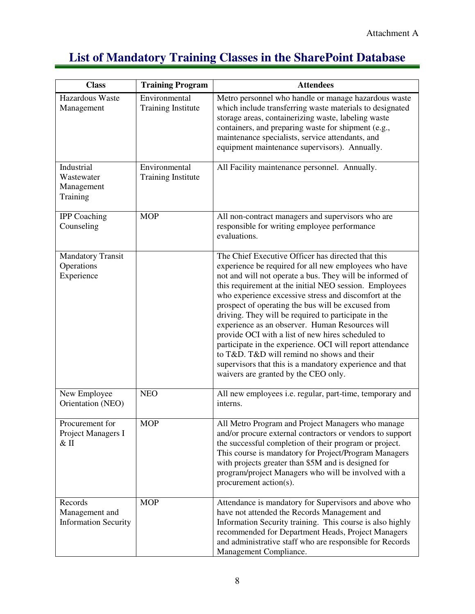## **List of Mandatory Training Classes in the SharePoint Database**

| <b>Class</b>                                             | <b>Training Program</b>                    | <b>Attendees</b>                                                                                                                                                                                                                                                                                                                                                                                                                                                                                                                                                                                                                                                                                                                |
|----------------------------------------------------------|--------------------------------------------|---------------------------------------------------------------------------------------------------------------------------------------------------------------------------------------------------------------------------------------------------------------------------------------------------------------------------------------------------------------------------------------------------------------------------------------------------------------------------------------------------------------------------------------------------------------------------------------------------------------------------------------------------------------------------------------------------------------------------------|
| Hazardous Waste<br>Management                            | Environmental<br><b>Training Institute</b> | Metro personnel who handle or manage hazardous waste<br>which include transferring waste materials to designated<br>storage areas, containerizing waste, labeling waste<br>containers, and preparing waste for shipment (e.g.,<br>maintenance specialists, service attendants, and<br>equipment maintenance supervisors). Annually.                                                                                                                                                                                                                                                                                                                                                                                             |
| Industrial<br>Wastewater<br>Management<br>Training       | Environmental<br><b>Training Institute</b> | All Facility maintenance personnel. Annually.                                                                                                                                                                                                                                                                                                                                                                                                                                                                                                                                                                                                                                                                                   |
| <b>IPP</b> Coaching<br>Counseling                        | <b>MOP</b>                                 | All non-contract managers and supervisors who are<br>responsible for writing employee performance<br>evaluations.                                                                                                                                                                                                                                                                                                                                                                                                                                                                                                                                                                                                               |
| <b>Mandatory Transit</b><br>Operations<br>Experience     |                                            | The Chief Executive Officer has directed that this<br>experience be required for all new employees who have<br>not and will not operate a bus. They will be informed of<br>this requirement at the initial NEO session. Employees<br>who experience excessive stress and discomfort at the<br>prospect of operating the bus will be excused from<br>driving. They will be required to participate in the<br>experience as an observer. Human Resources will<br>provide OCI with a list of new hires scheduled to<br>participate in the experience. OCI will report attendance<br>to T&D. T&D will remind no shows and their<br>supervisors that this is a mandatory experience and that<br>waivers are granted by the CEO only. |
| New Employee<br>Orientation (NEO)                        | <b>NEO</b>                                 | All new employees i.e. regular, part-time, temporary and<br>interns.                                                                                                                                                                                                                                                                                                                                                                                                                                                                                                                                                                                                                                                            |
| Procurement for<br>Project Managers I<br>$&$ II          | <b>MOP</b>                                 | All Metro Program and Project Managers who manage<br>and/or procure external contractors or vendors to support<br>the successful completion of their program or project.<br>This course is mandatory for Project/Program Managers<br>with projects greater than \$5M and is designed for<br>program/project Managers who will be involved with a<br>procurement action(s).                                                                                                                                                                                                                                                                                                                                                      |
| Records<br>Management and<br><b>Information Security</b> | <b>MOP</b>                                 | Attendance is mandatory for Supervisors and above who<br>have not attended the Records Management and<br>Information Security training. This course is also highly<br>recommended for Department Heads, Project Managers<br>and administrative staff who are responsible for Records<br>Management Compliance.                                                                                                                                                                                                                                                                                                                                                                                                                  |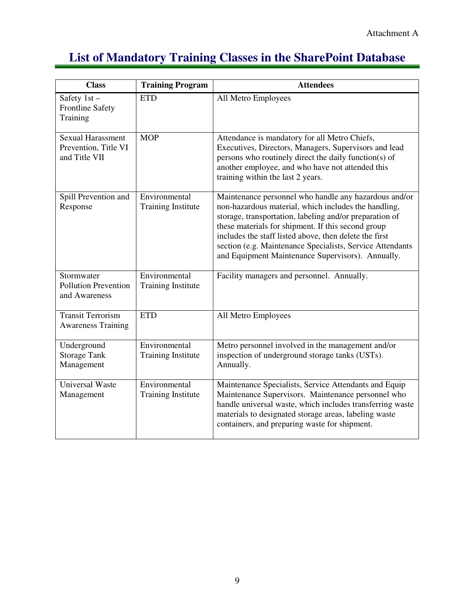## **List of Mandatory Training Classes in the SharePoint Database**

| <b>Class</b>                                                      | <b>Training Program</b>                    | <b>Attendees</b>                                                                                                                                                                                                                                                                                                                                                                                           |
|-------------------------------------------------------------------|--------------------------------------------|------------------------------------------------------------------------------------------------------------------------------------------------------------------------------------------------------------------------------------------------------------------------------------------------------------------------------------------------------------------------------------------------------------|
| Safety $1st -$<br><b>Frontline Safety</b><br>Training             | <b>ETD</b>                                 | All Metro Employees                                                                                                                                                                                                                                                                                                                                                                                        |
| <b>Sexual Harassment</b><br>Prevention, Title VI<br>and Title VII | <b>MOP</b>                                 | Attendance is mandatory for all Metro Chiefs,<br>Executives, Directors, Managers, Supervisors and lead<br>persons who routinely direct the daily function(s) of<br>another employee, and who have not attended this<br>training within the last 2 years.                                                                                                                                                   |
| Spill Prevention and<br>Response                                  | Environmental<br><b>Training Institute</b> | Maintenance personnel who handle any hazardous and/or<br>non-hazardous material, which includes the handling,<br>storage, transportation, labeling and/or preparation of<br>these materials for shipment. If this second group<br>includes the staff listed above, then delete the first<br>section (e.g. Maintenance Specialists, Service Attendants<br>and Equipment Maintenance Supervisors). Annually. |
| Stormwater<br><b>Pollution Prevention</b><br>and Awareness        | Environmental<br><b>Training Institute</b> | Facility managers and personnel. Annually.                                                                                                                                                                                                                                                                                                                                                                 |
| <b>Transit Terrorism</b><br><b>Awareness Training</b>             | <b>ETD</b>                                 | All Metro Employees                                                                                                                                                                                                                                                                                                                                                                                        |
| Underground<br><b>Storage Tank</b><br>Management                  | Environmental<br><b>Training Institute</b> | Metro personnel involved in the management and/or<br>inspection of underground storage tanks (USTs).<br>Annually.                                                                                                                                                                                                                                                                                          |
| <b>Universal Waste</b><br>Management                              | Environmental<br><b>Training Institute</b> | Maintenance Specialists, Service Attendants and Equip<br>Maintenance Supervisors. Maintenance personnel who<br>handle universal waste, which includes transferring waste<br>materials to designated storage areas, labeling waste<br>containers, and preparing waste for shipment.                                                                                                                         |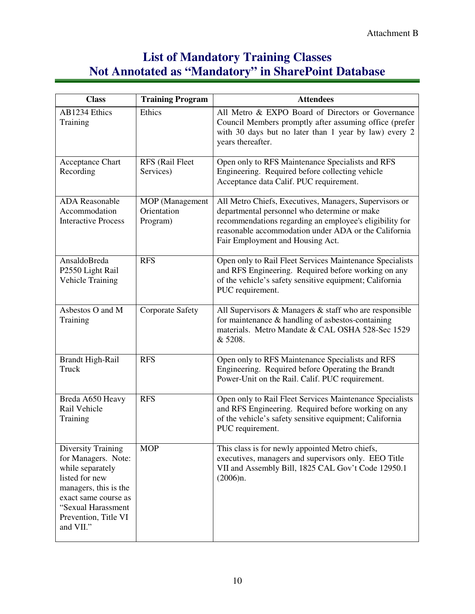## **List of Mandatory Training Classes Not Annotated as "Mandatory" in SharePoint Database**

| <b>Class</b>                                                                                                                                                                                       | <b>Training Program</b>                           | <b>Attendees</b>                                                                                                                                                                                                                                              |
|----------------------------------------------------------------------------------------------------------------------------------------------------------------------------------------------------|---------------------------------------------------|---------------------------------------------------------------------------------------------------------------------------------------------------------------------------------------------------------------------------------------------------------------|
| AB1234 Ethics<br>Training                                                                                                                                                                          | Ethics                                            | All Metro & EXPO Board of Directors or Governance<br>Council Members promptly after assuming office (prefer<br>with 30 days but no later than 1 year by law) every 2<br>years thereafter.                                                                     |
| <b>Acceptance Chart</b><br>Recording                                                                                                                                                               | RFS (Rail Fleet<br>Services)                      | Open only to RFS Maintenance Specialists and RFS<br>Engineering. Required before collecting vehicle<br>Acceptance data Calif. PUC requirement.                                                                                                                |
| <b>ADA</b> Reasonable<br>Accommodation<br><b>Interactive Process</b>                                                                                                                               | <b>MOP</b> (Management<br>Orientation<br>Program) | All Metro Chiefs, Executives, Managers, Supervisors or<br>departmental personnel who determine or make<br>recommendations regarding an employee's eligibility for<br>reasonable accommodation under ADA or the California<br>Fair Employment and Housing Act. |
| AnsaldoBreda<br>P2550 Light Rail<br><b>Vehicle Training</b>                                                                                                                                        | <b>RFS</b>                                        | Open only to Rail Fleet Services Maintenance Specialists<br>and RFS Engineering. Required before working on any<br>of the vehicle's safety sensitive equipment; California<br>PUC requirement.                                                                |
| Asbestos O and M<br>Training                                                                                                                                                                       | <b>Corporate Safety</b>                           | All Supervisors & Managers & staff who are responsible<br>for maintenance $\&$ handling of asbestos-containing<br>materials. Metro Mandate & CAL OSHA 528-Sec 1529<br>& 5208.                                                                                 |
| <b>Brandt High-Rail</b><br>Truck                                                                                                                                                                   | <b>RFS</b>                                        | Open only to RFS Maintenance Specialists and RFS<br>Engineering. Required before Operating the Brandt<br>Power-Unit on the Rail. Calif. PUC requirement.                                                                                                      |
| Breda A650 Heavy<br>Rail Vehicle<br>Training                                                                                                                                                       | <b>RFS</b>                                        | Open only to Rail Fleet Services Maintenance Specialists<br>and RFS Engineering. Required before working on any<br>of the vehicle's safety sensitive equipment; California<br>PUC requirement.                                                                |
| <b>Diversity Training</b><br>for Managers. Note:<br>while separately<br>listed for new<br>managers, this is the<br>exact same course as<br>"Sexual Harassment<br>Prevention, Title VI<br>and VII." | <b>MOP</b>                                        | This class is for newly appointed Metro chiefs,<br>executives, managers and supervisors only. EEO Title<br>VII and Assembly Bill, 1825 CAL Gov't Code 12950.1<br>(2006)n.                                                                                     |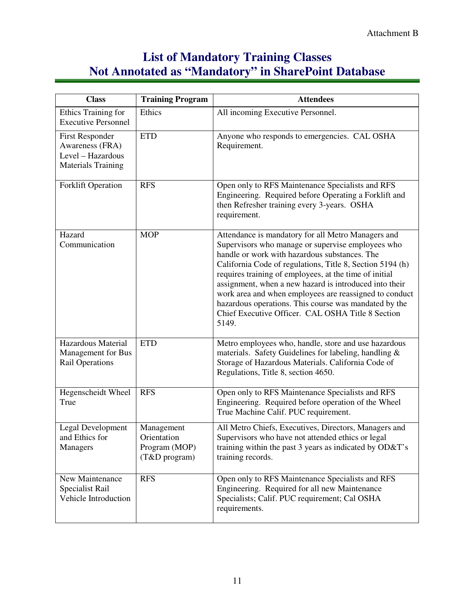## **List of Mandatory Training Classes Not Annotated as "Mandatory" in SharePoint Database**

| <b>Class</b>                                                                                | <b>Training Program</b>                                     | <b>Attendees</b>                                                                                                                                                                                                                                                                                                                                                                                                                                                                                                           |
|---------------------------------------------------------------------------------------------|-------------------------------------------------------------|----------------------------------------------------------------------------------------------------------------------------------------------------------------------------------------------------------------------------------------------------------------------------------------------------------------------------------------------------------------------------------------------------------------------------------------------------------------------------------------------------------------------------|
| Ethics Training for<br><b>Executive Personnel</b>                                           | Ethics                                                      | All incoming Executive Personnel.                                                                                                                                                                                                                                                                                                                                                                                                                                                                                          |
| <b>First Responder</b><br>Awareness (FRA)<br>Level - Hazardous<br><b>Materials Training</b> | <b>ETD</b>                                                  | Anyone who responds to emergencies. CAL OSHA<br>Requirement.                                                                                                                                                                                                                                                                                                                                                                                                                                                               |
| <b>Forklift Operation</b>                                                                   | <b>RFS</b>                                                  | Open only to RFS Maintenance Specialists and RFS<br>Engineering. Required before Operating a Forklift and<br>then Refresher training every 3-years. OSHA<br>requirement.                                                                                                                                                                                                                                                                                                                                                   |
| Hazard<br>Communication                                                                     | <b>MOP</b>                                                  | Attendance is mandatory for all Metro Managers and<br>Supervisors who manage or supervise employees who<br>handle or work with hazardous substances. The<br>California Code of regulations, Title 8, Section 5194 (h)<br>requires training of employees, at the time of initial<br>assignment, when a new hazard is introduced into their<br>work area and when employees are reassigned to conduct<br>hazardous operations. This course was mandated by the<br>Chief Executive Officer. CAL OSHA Title 8 Section<br>5149. |
| Hazardous Material<br>Management for Bus<br><b>Rail Operations</b>                          | <b>ETD</b>                                                  | Metro employees who, handle, store and use hazardous<br>materials. Safety Guidelines for labeling, handling &<br>Storage of Hazardous Materials. California Code of<br>Regulations, Title 8, section 4650.                                                                                                                                                                                                                                                                                                                 |
| Hegenscheidt Wheel<br>True                                                                  | <b>RFS</b>                                                  | Open only to RFS Maintenance Specialists and RFS<br>Engineering. Required before operation of the Wheel<br>True Machine Calif. PUC requirement.                                                                                                                                                                                                                                                                                                                                                                            |
| <b>Legal Development</b><br>and Ethics for<br>Managers                                      | Management<br>Orientation<br>Program (MOP)<br>(T&D program) | All Metro Chiefs, Executives, Directors, Managers and<br>Supervisors who have not attended ethics or legal<br>training within the past 3 years as indicated by OD&T's<br>training records.                                                                                                                                                                                                                                                                                                                                 |
| New Maintenance<br>Specialist Rail<br>Vehicle Introduction                                  | <b>RFS</b>                                                  | Open only to RFS Maintenance Specialists and RFS<br>Engineering. Required for all new Maintenance<br>Specialists; Calif. PUC requirement; Cal OSHA<br>requirements.                                                                                                                                                                                                                                                                                                                                                        |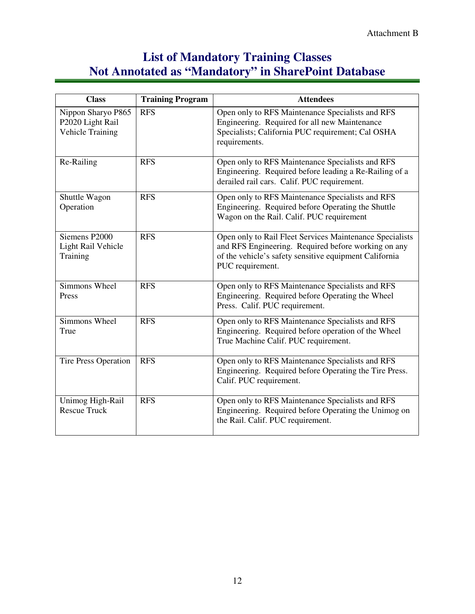## **List of Mandatory Training Classes Not Annotated as "Mandatory" in SharePoint Database**

| <b>Class</b>                                                      | <b>Training Program</b> | <b>Attendees</b>                                                                                                                                                                              |
|-------------------------------------------------------------------|-------------------------|-----------------------------------------------------------------------------------------------------------------------------------------------------------------------------------------------|
| Nippon Sharyo P865<br>P2020 Light Rail<br><b>Vehicle Training</b> | <b>RFS</b>              | Open only to RFS Maintenance Specialists and RFS<br>Engineering. Required for all new Maintenance<br>Specialists; California PUC requirement; Cal OSHA<br>requirements.                       |
| Re-Railing                                                        | <b>RFS</b>              | Open only to RFS Maintenance Specialists and RFS<br>Engineering. Required before leading a Re-Railing of a<br>derailed rail cars. Calif. PUC requirement.                                     |
| Shuttle Wagon<br>Operation                                        | <b>RFS</b>              | Open only to RFS Maintenance Specialists and RFS<br>Engineering. Required before Operating the Shuttle<br>Wagon on the Rail. Calif. PUC requirement                                           |
| Siemens P2000<br>Light Rail Vehicle<br>Training                   | <b>RFS</b>              | Open only to Rail Fleet Services Maintenance Specialists<br>and RFS Engineering. Required before working on any<br>of the vehicle's safety sensitive equipment California<br>PUC requirement. |
| Simmons Wheel<br>Press                                            | <b>RFS</b>              | Open only to RFS Maintenance Specialists and RFS<br>Engineering. Required before Operating the Wheel<br>Press. Calif. PUC requirement.                                                        |
| Simmons Wheel<br>True                                             | <b>RFS</b>              | Open only to RFS Maintenance Specialists and RFS<br>Engineering. Required before operation of the Wheel<br>True Machine Calif. PUC requirement.                                               |
| Tire Press Operation                                              | <b>RFS</b>              | Open only to RFS Maintenance Specialists and RFS<br>Engineering. Required before Operating the Tire Press.<br>Calif. PUC requirement.                                                         |
| Unimog High-Rail<br><b>Rescue Truck</b>                           | <b>RFS</b>              | Open only to RFS Maintenance Specialists and RFS<br>Engineering. Required before Operating the Unimog on<br>the Rail. Calif. PUC requirement.                                                 |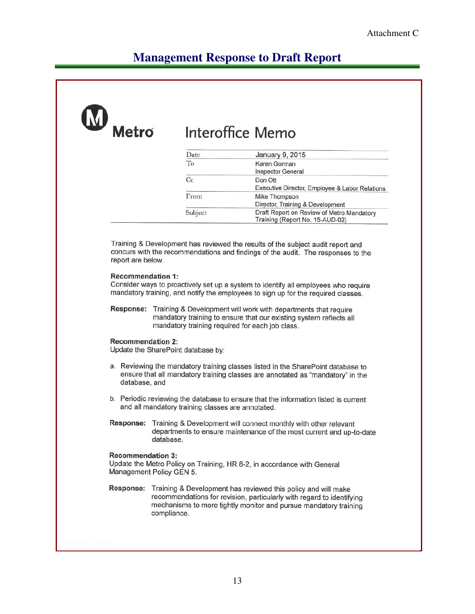#### **Management Response to Draft Report**

#### Metro Interoffice Memo Date January 9, 2015 To Karen Gorman Inspector General  $Cc$ Don Ott Executive Director, Employee & Labor Relations  $From$ Mike Thompson Director, Training & Development Subject Draft Report on Review of Metro Mandatory Training (Report No. 15-AUD-02) Training & Development has reviewed the results of the subject audit report and concurs with the recommendations and findings of the audit. The responses to the report are below. **Recommendation 1:** Consider ways to proactively set up a system to identify all employees who require mandatory training, and notify the employees to sign up for the required classes. Response: Training & Development will work with departments that require mandatory training to ensure that our existing system reflects all mandatory training required for each job class. **Recommendation 2:** Update the SharePoint database by: a. Reviewing the mandatory training classes listed in the SharePoint database to ensure that all mandatory training classes are annotated as "mandatory" in the database, and b. Periodic reviewing the database to ensure that the information listed is current and all mandatory training classes are annotated. Response: Training & Development will connect monthly with other relevant departments to ensure maintenance of the most current and up-to-date database. **Recommendation 3:** Update the Metro Policy on Training, HR 8-2, in accordance with General Management Policy GEN 5. Response: Training & Development has reviewed this policy and will make recommendations for revision, particularly with regard to identifying mechanisms to more tightly monitor and pursue mandatory training compliance.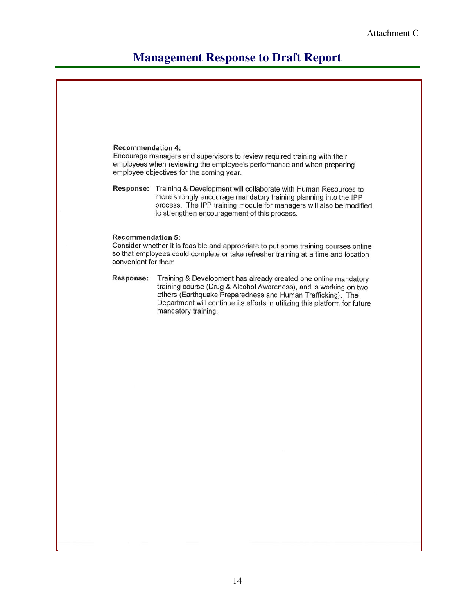#### **Management Response to Draft Report**